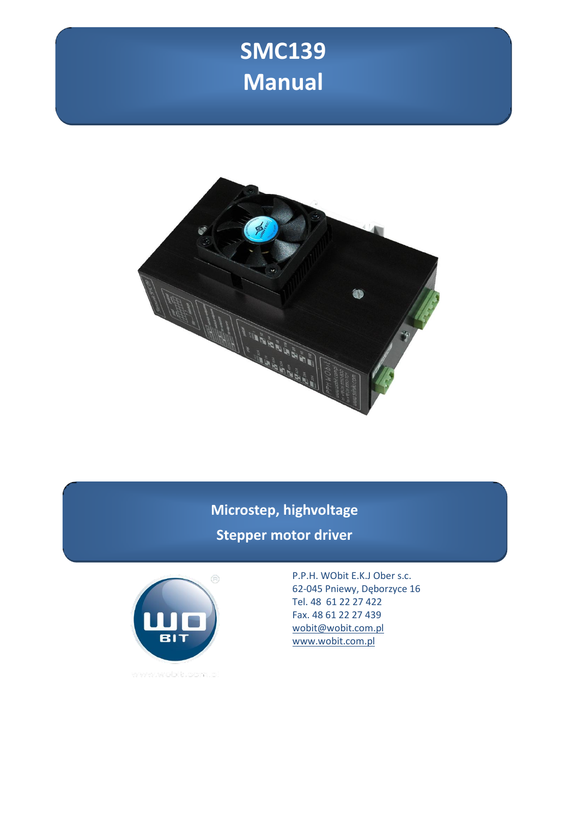# **SMC139 Manual**



**Microstep, highvoltage Stepper motor driver**



P.P.H. WObit E.K.J Ober s.c. 62-045 Pniewy, Dęborzyce 16 Tel. 48 61 22 27 422 Fax. 48 61 22 27 439 [wobit@wobit.com.pl](mailto:wobit@wobit.com.pl) [www.wobit.com.pl](http://www.wobit.com.pl/)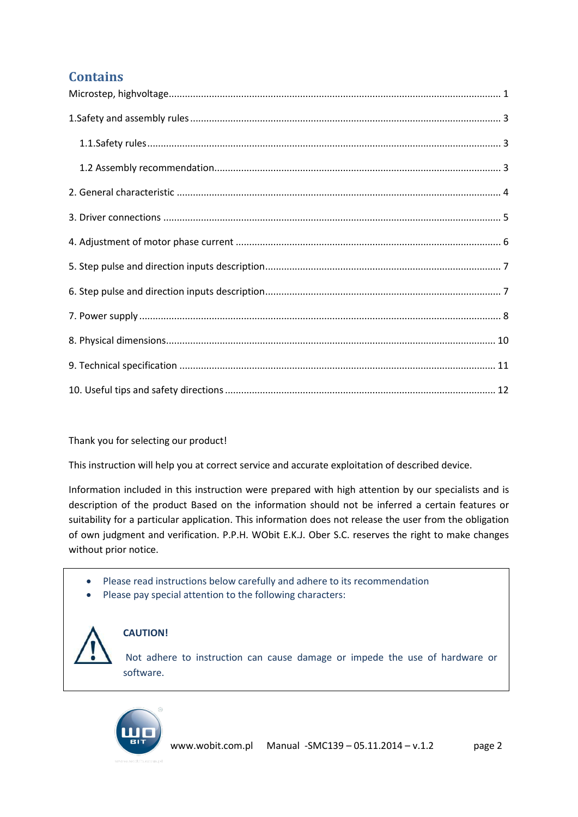### **Contains**

#### Thank you for selecting our product!

This instruction will help you at correct service and accurate exploitation of described device.

Information included in this instruction were prepared with high attention by our specialists and is description of the product Based on the information should not be inferred a certain features or suitability for a particular application. This information does not release the user from the obligation of own judgment and verification. P.P.H. WObit E.K.J. Ober S.C. reserves the right to make changes without prior notice.

- Please read instructions below carefully and adhere to its recommendation
- Please pay special attention to the following characters:



### **CAUTION!**

Not adhere to instruction can cause damage or impede the use of hardware or software.

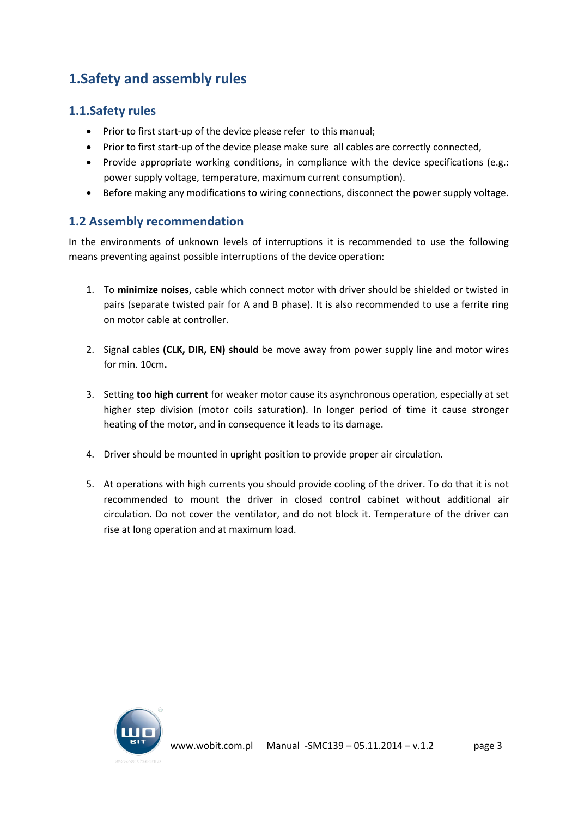# <span id="page-2-0"></span>**1.Safety and assembly rules**

### <span id="page-2-1"></span>**1.1.Safety rules**

- Prior to first start-up of the device please refer to this manual;
- Prior to first start-up of the device please make sure all cables are correctly connected,
- Provide appropriate working conditions, in compliance with the device specifications (e.g.: power supply voltage, temperature, maximum current consumption).
- Before making any modifications to wiring connections, disconnect the power supply voltage.

### <span id="page-2-2"></span>**1.2 Assembly recommendation**

In the environments of unknown levels of interruptions it is recommended to use the following means preventing against possible interruptions of the device operation:

- 1. To **minimize noises**, cable which connect motor with driver should be shielded or twisted in pairs (separate twisted pair for A and B phase). It is also recommended to use a ferrite ring on motor cable at controller.
- 2. Signal cables **(CLK, DIR, EN) should** be move away from power supply line and motor wires for min. 10cm**.**
- 3. Setting **too high current** for weaker motor cause its asynchronous operation, especially at set higher step division (motor coils saturation). In longer period of time it cause stronger heating of the motor, and in consequence it leads to its damage.
- 4. Driver should be mounted in upright position to provide proper air circulation.
- 5. At operations with high currents you should provide cooling of the driver. To do that it is not recommended to mount the driver in closed control cabinet without additional air circulation. Do not cover the ventilator, and do not block it. Temperature of the driver can rise at long operation and at maximum load.

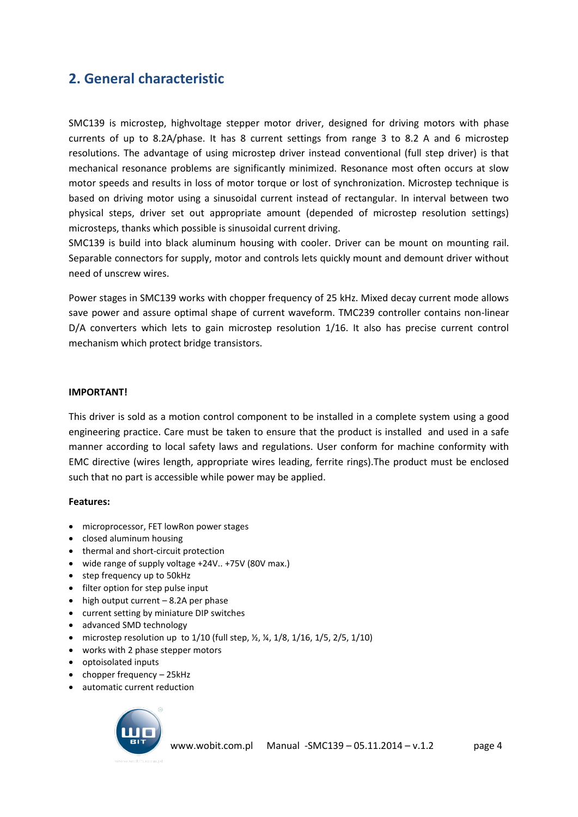### <span id="page-3-0"></span>**2. General characteristic**

SMC139 is microstep, highvoltage stepper motor driver, designed for driving motors with phase currents of up to 8.2A/phase. It has 8 current settings from range 3 to 8.2 A and 6 microstep resolutions. The advantage of using microstep driver instead conventional (full step driver) is that mechanical resonance problems are significantly minimized. Resonance most often occurs at slow motor speeds and results in loss of motor torque or lost of synchronization. Microstep technique is based on driving motor using a sinusoidal current instead of rectangular. In interval between two physical steps, driver set out appropriate amount (depended of microstep resolution settings) microsteps, thanks which possible is sinusoidal current driving.

SMC139 is build into black aluminum housing with cooler. Driver can be mount on mounting rail. Separable connectors for supply, motor and controls lets quickly mount and demount driver without need of unscrew wires.

Power stages in SMC139 works with chopper frequency of 25 kHz. Mixed decay current mode allows save power and assure optimal shape of current waveform. TMC239 controller contains non-linear D/A converters which lets to gain microstep resolution 1/16. It also has precise current control mechanism which protect bridge transistors.

#### **IMPORTANT!**

This driver is sold as a motion control component to be installed in a complete system using a good engineering practice. Care must be taken to ensure that the product is installed and used in a safe manner according to local safety laws and regulations. User conform for machine conformity with EMC directive (wires length, appropriate wires leading, ferrite rings).The product must be enclosed such that no part is accessible while power may be applied.

#### **Features:**

- microprocessor, FET lowRon power stages
- closed aluminum housing
- thermal and short-circuit protection
- wide range of supply voltage +24V.. +75V (80V max.)
- step frequency up to 50kHz
- filter option for step pulse input
- $\bullet$  high output current 8.2A per phase
- current setting by miniature DIP switches
- advanced SMD technology
- microstep resolution up to  $1/10$  (full step,  $\frac{1}{2}$ ,  $\frac{1}{8}$ ,  $\frac{1}{16}$ ,  $\frac{1}{5}$ ,  $\frac{2}{5}$ ,  $\frac{1}{10}$ )
- works with 2 phase stepper motors
- optoisolated inputs
- chopper frequency 25kHz
- automatic current reduction

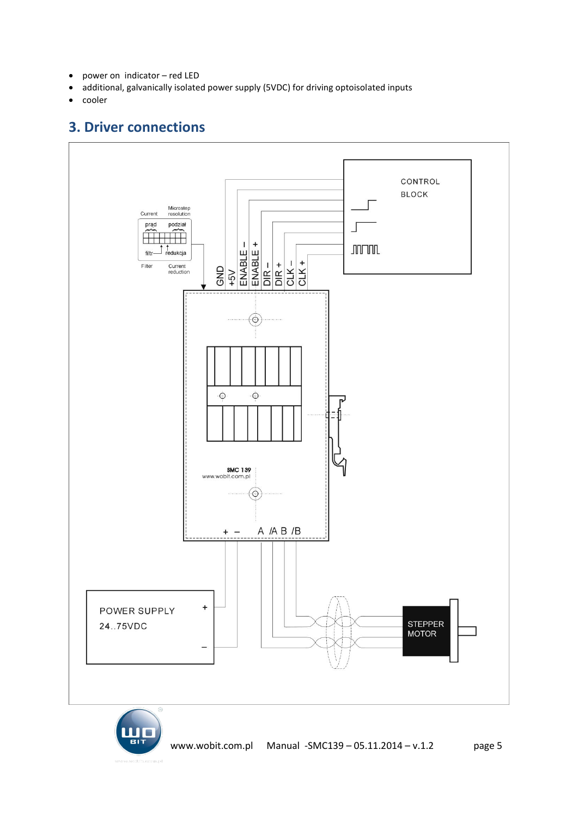- power on indicator red LED
- additional, galvanically isolated power supply (5VDC) for driving optoisolated inputs
- <span id="page-4-0"></span>• cooler

### **3. Driver connections**



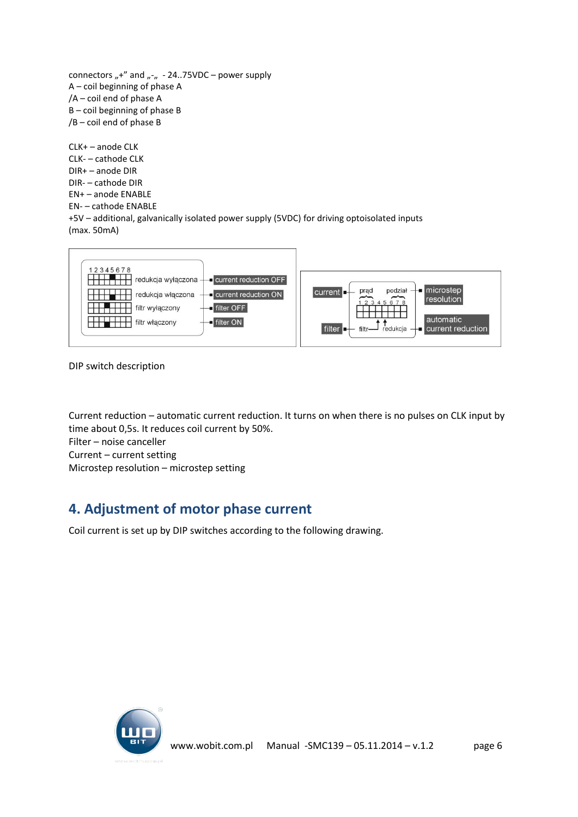connectors "+" and "- $n - 24.75VDC$  – power supply A – coil beginning of phase A /A – coil end of phase A B – coil beginning of phase B /B – coil end of phase B

CLK+ – anode CLK CLK- – cathode CLK DIR+ – anode DIR DIR- – cathode DIR EN+ – anode ENABLE EN- – cathode ENABLE +5V – additional, galvanically isolated power supply (5VDC) for driving optoisolated inputs (max. 50mA)



DIP switch description

Current reduction – automatic current reduction. It turns on when there is no pulses on CLK input by time about 0,5s. It reduces coil current by 50%. Filter – noise canceller Current – current setting Microstep resolution – microstep setting

### <span id="page-5-0"></span>**4. Adjustment of motor phase current**

Coil current is set up by DIP switches according to the following drawing.

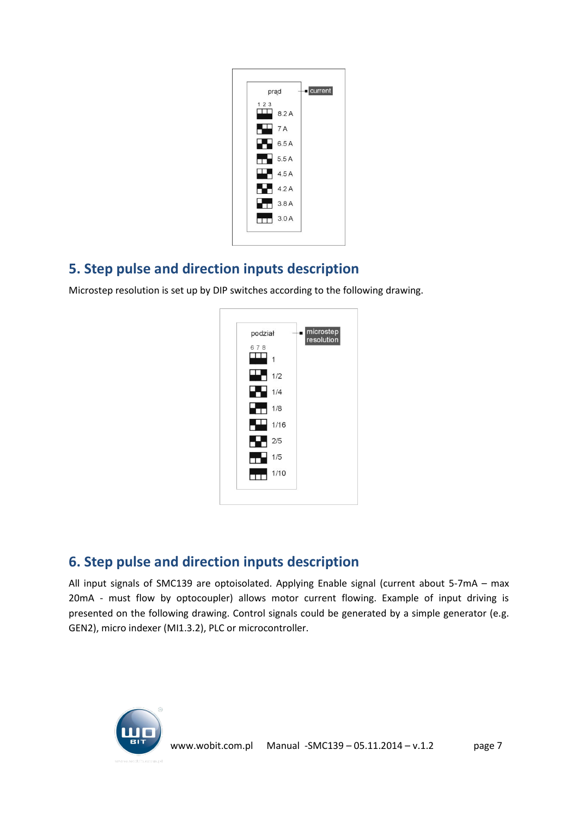| prąd |      | current |
|------|------|---------|
| 123  | 8.2A |         |
|      | 7A   |         |
|      | 6.5A |         |
|      | 5.5A |         |
|      | 4.5A |         |
|      | 4.2A |         |
|      | 3.8A |         |
|      | 3.0A |         |

### <span id="page-6-0"></span>**5. Step pulse and direction inputs description**

Microstep resolution is set up by DIP switches according to the following drawing.



# <span id="page-6-1"></span>**6. Step pulse and direction inputs description**

All input signals of SMC139 are optoisolated. Applying Enable signal (current about 5-7mA – max 20mA - must flow by optocoupler) allows motor current flowing. Example of input driving is presented on the following drawing. Control signals could be generated by a simple generator (e.g. GEN2), micro indexer (MI1.3.2), PLC or microcontroller.

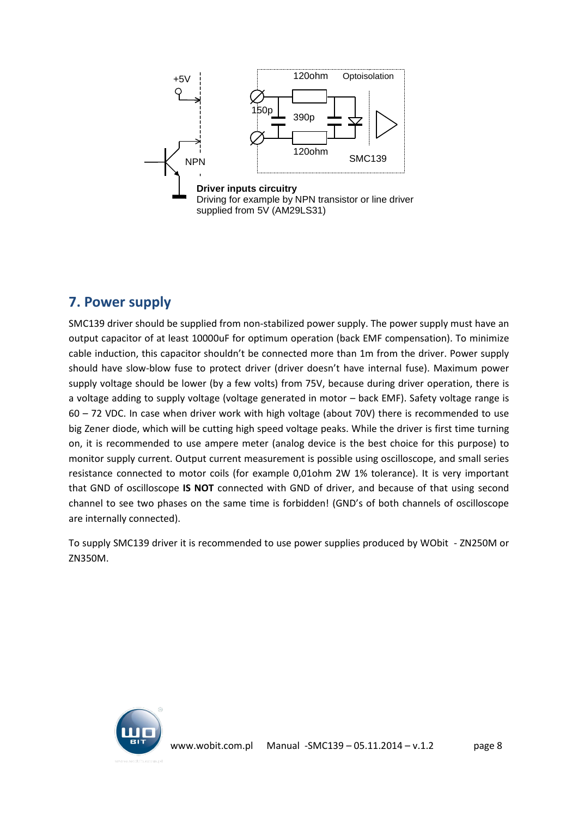

### <span id="page-7-0"></span>**7. Power supply**

SMC139 driver should be supplied from non-stabilized power supply. The power supply must have an output capacitor of at least 10000uF for optimum operation (back EMF compensation). To minimize cable induction, this capacitor shouldn't be connected more than 1m from the driver. Power supply should have slow-blow fuse to protect driver (driver doesn't have internal fuse). Maximum power supply voltage should be lower (by a few volts) from 75V, because during driver operation, there is a voltage adding to supply voltage (voltage generated in motor – back EMF). Safety voltage range is 60 – 72 VDC. In case when driver work with high voltage (about 70V) there is recommended to use big Zener diode, which will be cutting high speed voltage peaks. While the driver is first time turning on, it is recommended to use ampere meter (analog device is the best choice for this purpose) to monitor supply current. Output current measurement is possible using oscilloscope, and small series resistance connected to motor coils (for example 0,01ohm 2W 1% tolerance). It is very important that GND of oscilloscope **IS NOT** connected with GND of driver, and because of that using second channel to see two phases on the same time is forbidden! (GND's of both channels of oscilloscope are internally connected).

To supply SMC139 driver it is recommended to use power supplies produced by WObit - ZN250M or ZN350M.

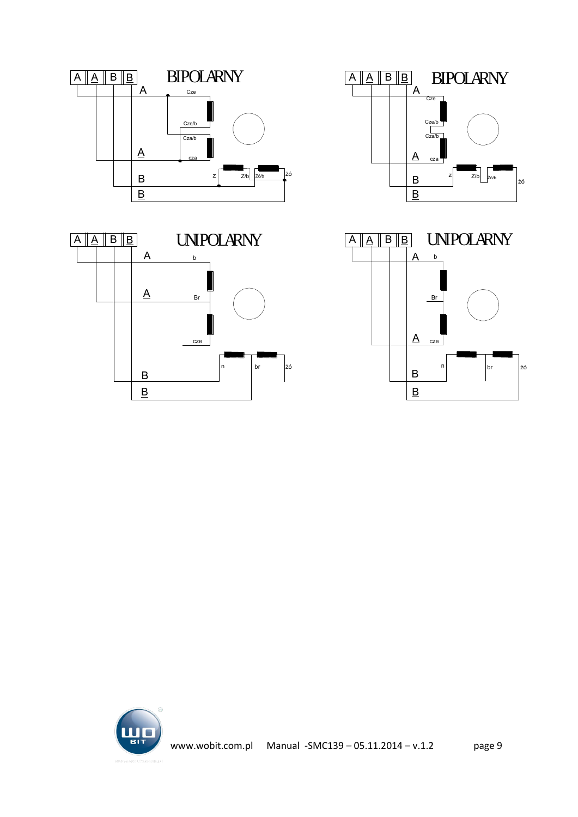







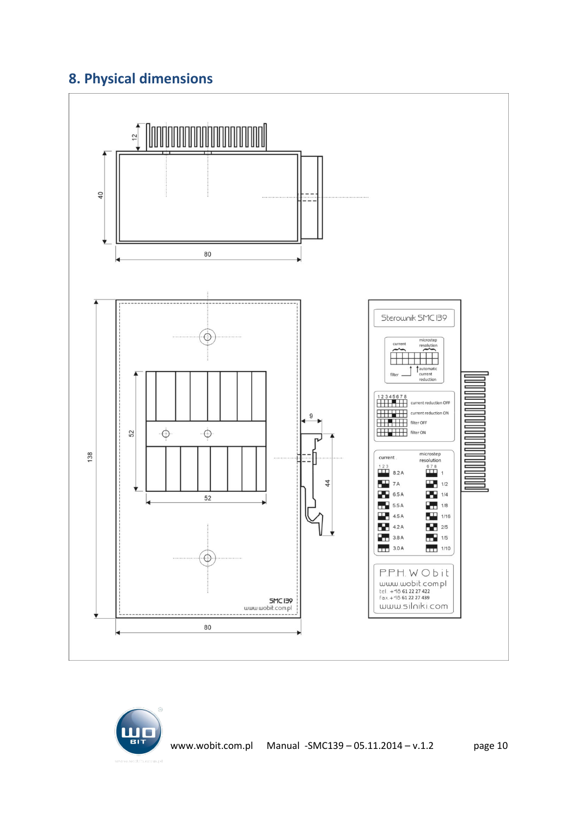# <span id="page-9-0"></span>**8. Physical dimensions**



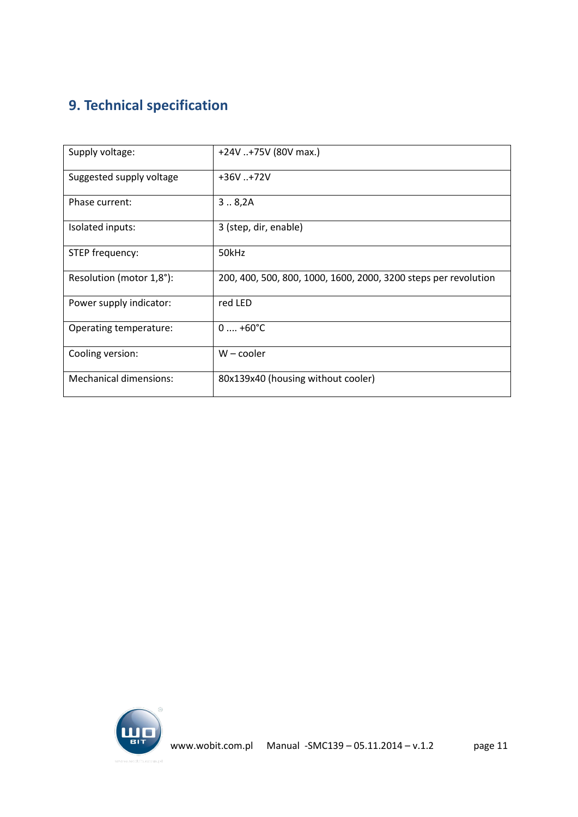# <span id="page-10-0"></span>**9. Technical specification**

| Supply voltage:               | +24V +75V (80V max.)                                            |
|-------------------------------|-----------------------------------------------------------------|
| Suggested supply voltage      | $+36V. +72V$                                                    |
| Phase current:                | 3.8,2A                                                          |
| Isolated inputs:              | 3 (step, dir, enable)                                           |
| STEP frequency:               | 50kHz                                                           |
| Resolution (motor 1,8°):      | 200, 400, 500, 800, 1000, 1600, 2000, 3200 steps per revolution |
| Power supply indicator:       | red LED                                                         |
| Operating temperature:        | $0 \dots +60^{\circ}C$                                          |
| Cooling version:              | $W$ – cooler                                                    |
| <b>Mechanical dimensions:</b> | 80x139x40 (housing without cooler)                              |